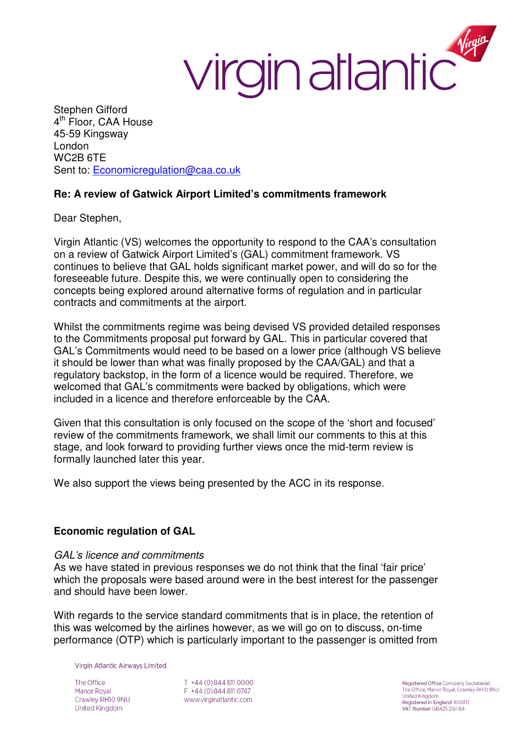## Virgin atlantic

Stephen Gifford 4<sup>th</sup> Floor, CAA House 45-59 Kingsway London WC2B 6TE Sent to: Economicregulation@caa.co.uk

## **Re: A review of Gatwick Airport Limited's commitments framework**

Dear Stephen,

Virgin Atlantic (VS) welcomes the opportunity to respond to the CAA's consultation on a review of Gatwick Airport Limited's (GAL) commitment framework. VS continues to believe that GAL holds significant market power, and will do so for the foreseeable future. Despite this, we were continually open to considering the concepts being explored around alternative forms of regulation and in particular contracts and commitments at the airport.

Whilst the commitments regime was being devised VS provided detailed responses to the Commitments proposal put forward by GAL. This in particular covered that GAL's Commitments would need to be based on a lower price (although VS believe it should be lower than what was finally proposed by the CAA/GAL) and that a regulatory backstop, in the form of a licence would be required. Therefore, we welcomed that GAL's commitments were backed by obligations, which were included in a licence and therefore enforceable by the CAA.

Given that this consultation is only focused on the scope of the 'short and focused' review of the commitments framework, we shall limit our comments to this at this stage, and look forward to providing further views once the mid-term review is formally launched later this year.

We also support the views being presented by the ACC in its response.

## **Economic regulation of GAL**

#### GAL's licence and commitments

As we have stated in previous responses we do not think that the final 'fair price' which the proposals were based around were in the best interest for the passenger and should have been lower.

With regards to the service standard commitments that is in place, the retention of this was welcomed by the airlines however, as we will go on to discuss, on-time performance (OTP) which is particularly important to the passenger is omitted from

Virgin Atlantic Airways Limited

The Office Manor Royal Crawley RH10 9NU United Kingdom

T +44 (0) 844 811 0000 F +44 (0) 844 811 0747 www.virginatlantic.com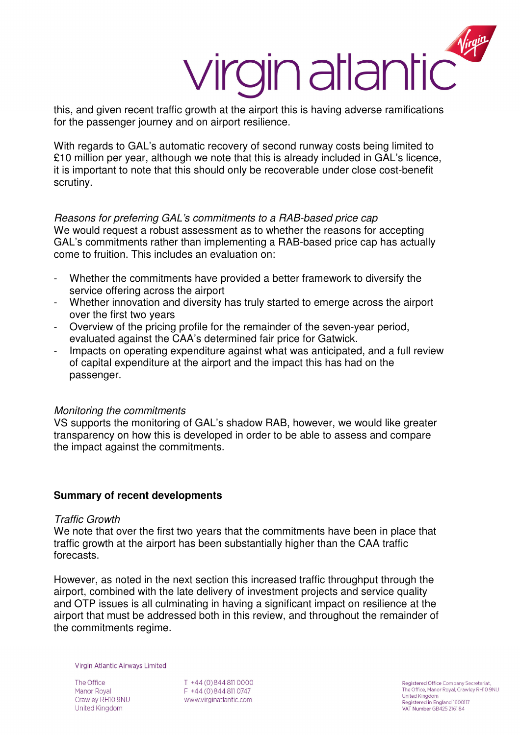# this, and given recent traffic growth at the airport this is having adverse ramifications

for the passenger journey and on airport resilience.

With regards to GAL's automatic recovery of second runway costs being limited to £10 million per year, although we note that this is already included in GAL's licence, it is important to note that this should only be recoverable under close cost-benefit scrutiny.

Reasons for preferring GAL's commitments to a RAB-based price cap

We would request a robust assessment as to whether the reasons for accepting GAL's commitments rather than implementing a RAB-based price cap has actually come to fruition. This includes an evaluation on:

- Whether the commitments have provided a better framework to diversify the service offering across the airport
- Whether innovation and diversity has truly started to emerge across the airport over the first two years
- Overview of the pricing profile for the remainder of the seven-year period, evaluated against the CAA's determined fair price for Gatwick.
- Impacts on operating expenditure against what was anticipated, and a full review of capital expenditure at the airport and the impact this has had on the passenger.

#### Monitoring the commitments

VS supports the monitoring of GAL's shadow RAB, however, we would like greater transparency on how this is developed in order to be able to assess and compare the impact against the commitments.

## **Summary of recent developments**

#### Traffic Growth

We note that over the first two years that the commitments have been in place that traffic growth at the airport has been substantially higher than the CAA traffic forecasts.

However, as noted in the next section this increased traffic throughput through the airport, combined with the late delivery of investment projects and service quality and OTP issues is all culminating in having a significant impact on resilience at the airport that must be addressed both in this review, and throughout the remainder of the commitments regime.

Virgin Atlantic Airways Limited

The Office Manor Royal Crawley RH10 9NU United Kingdom

T +44 (0) 844 811 0000 F +44 (0) 844 811 0747 www.virginatlantic.com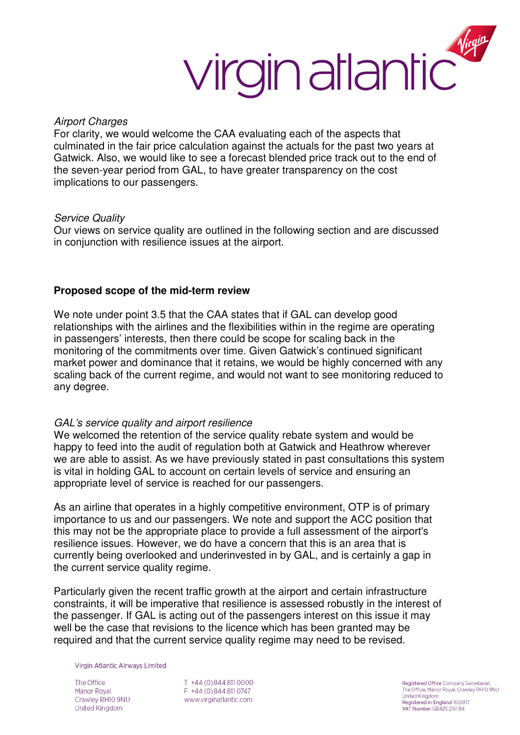

#### Airport Charges

For clarity, we would welcome the CAA evaluating each of the aspects that culminated in the fair price calculation against the actuals for the past two years at Gatwick. Also, we would like to see a forecast blended price track out to the end of the seven-year period from GAL, to have greater transparency on the cost implications to our passengers.

#### Service Quality

Our views on service quality are outlined in the following section and are discussed in conjunction with resilience issues at the airport.

#### **Proposed scope of the mid-term review**

We note under point 3.5 that the CAA states that if GAL can develop good relationships with the airlines and the flexibilities within in the regime are operating in passengers' interests, then there could be scope for scaling back in the monitoring of the commitments over time. Given Gatwick's continued significant market power and dominance that it retains, we would be highly concerned with any scaling back of the current regime, and would not want to see monitoring reduced to any degree.

#### GAL's service quality and airport resilience

We welcomed the retention of the service quality rebate system and would be happy to feed into the audit of regulation both at Gatwick and Heathrow wherever we are able to assist. As we have previously stated in past consultations this system is vital in holding GAL to account on certain levels of service and ensuring an appropriate level of service is reached for our passengers.

As an airline that operates in a highly competitive environment, OTP is of primary importance to us and our passengers. We note and support the ACC position that this may not be the appropriate place to provide a full assessment of the airport's resilience issues. However, we do have a concern that this is an area that is currently being overlooked and underinvested in by GAL, and is certainly a gap in the current service quality regime.

Particularly given the recent traffic growth at the airport and certain infrastructure constraints, it will be imperative that resilience is assessed robustly in the interest of the passenger. If GAL is acting out of the passengers interest on this issue it may well be the case that revisions to the licence which has been granted may be required and that the current service quality regime may need to be revised.

Virgin Atlantic Airways Limited

The Office Manor Royal Crawley RH10 9NU United Kingdom

T +44 (0) 844 811 0000 F +44 (0) 844 811 0747 www.virginatlantic.com